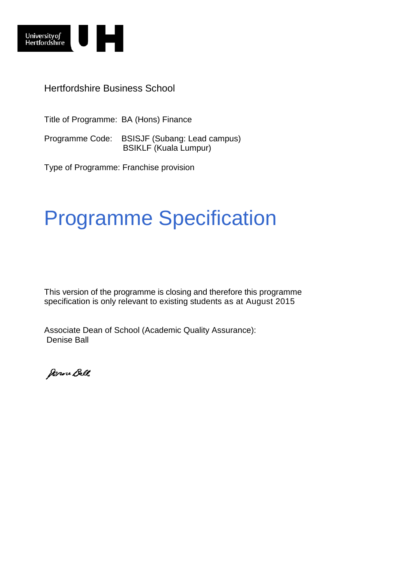

Hertfordshire Business School

Title of Programme: BA (Hons) Finance

Programme Code: BSISJF (Subang: Lead campus) BSIKLF (Kuala Lumpur)

Type of Programme: Franchise provision

# Programme Specification

This version of the programme is closing and therefore this programme specification is only relevant to existing students as at August 2015

Associate Dean of School (Academic Quality Assurance): Denise Ball

Denne Ball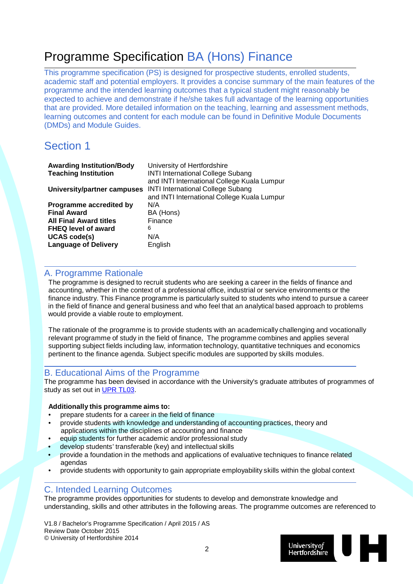## Programme Specification BA (Hons) Finance

This programme specification (PS) is designed for prospective students, enrolled students, academic staff and potential employers. It provides a concise summary of the main features of the programme and the intended learning outcomes that a typical student might reasonably be expected to achieve and demonstrate if he/she takes full advantage of the learning opportunities that are provided. More detailed information on the teaching, learning and assessment methods, learning outcomes and content for each module can be found in Definitive Module Documents (DMDs) and Module Guides.

### Section 1

| <b>Awarding Institution/Body</b> | University of Hertfordshire                 |
|----------------------------------|---------------------------------------------|
| <b>Teaching Institution</b>      | <b>INTI International College Subang</b>    |
|                                  | and INTI International College Kuala Lumpur |
| University/partner campuses      | <b>INTI International College Subang</b>    |
|                                  | and INTI International College Kuala Lumpur |
| Programme accredited by          | N/A                                         |
| <b>Final Award</b>               | BA (Hons)                                   |
| <b>All Final Award titles</b>    | Finance                                     |
| <b>FHEQ level of award</b>       | 6                                           |
| <b>UCAS code(s)</b>              | N/A                                         |
| <b>Language of Delivery</b>      | English                                     |
|                                  |                                             |

#### A. Programme Rationale

The programme is designed to recruit students who are seeking a career in the fields of finance and accounting, whether in the context of a professional office, industrial or service environments or the finance industry. This Finance programme is particularly suited to students who intend to pursue a career in the field of finance and general business and who feel that an analytical based approach to problems would provide a viable route to employment.

The rationale of the programme is to provide students with an academically challenging and vocationally relevant programme of study in the field of finance, The programme combines and applies several supporting subject fields including law, information technology, quantitative techniques and economics pertinent to the finance agenda. Subject specific modules are supported by skills modules.

#### B. Educational Aims of the Programme

The programme has been devised in accordance with the University's graduate attributes of programmes of study as set out in [UPR TL03.](http://sitem.herts.ac.uk/secreg/upr/TL03.htm)

#### **Additionally this programme aims to:**

- prepare students for a career in the field of finance
- provide students with knowledge and understanding of accounting practices, theory and applications within the disciplines of accounting and finance
- equip students for further academic and/or professional study
- develop students' transferable (key) and intellectual skills
- provide a foundation in the methods and applications of evaluative techniques to finance related agendas
- provide students with opportunity to gain appropriate employability skills within the global context

#### C. Intended Learning Outcomes

The programme provides opportunities for students to develop and demonstrate knowledge and understanding, skills and other attributes in the following areas. The programme outcomes are referenced to

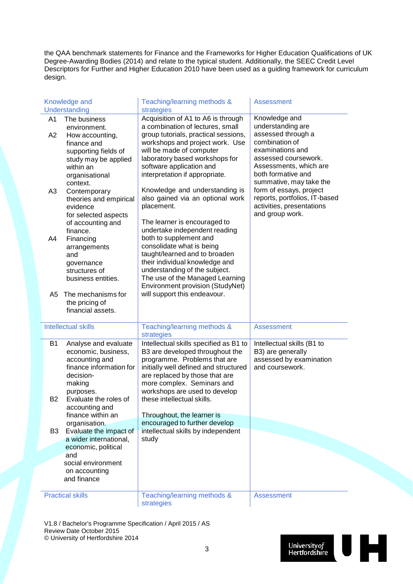the QAA benchmark statements for Finance and the Frameworks for Higher Education Qualifications of UK Degree-Awarding Bodies (2014) and relate to the typical student. Additionally, the SEEC Credit Level Descriptors for Further and Higher Education 2010 have been used as a guiding framework for curriculum design.

|                        | Knowledge and<br>Understanding                                                                                                                                          | Teaching/learning methods &<br>strategies                                                                                                                                                                                                                                         | <b>Assessment</b>                                                                                        |
|------------------------|-------------------------------------------------------------------------------------------------------------------------------------------------------------------------|-----------------------------------------------------------------------------------------------------------------------------------------------------------------------------------------------------------------------------------------------------------------------------------|----------------------------------------------------------------------------------------------------------|
| A <sub>1</sub>         | The business                                                                                                                                                            | Acquisition of A1 to A6 is through                                                                                                                                                                                                                                                | Knowledge and                                                                                            |
| A2                     | environment.<br>How accounting,<br>finance and<br>supporting fields of                                                                                                  | a combination of lectures, small<br>group tutorials, practical sessions,<br>workshops and project work. Use<br>will be made of computer                                                                                                                                           | understanding are<br>assessed through a<br>combination of<br>examinations and                            |
|                        | study may be applied<br>within an<br>organisational                                                                                                                     | laboratory based workshops for<br>software application and<br>interpretation if appropriate.                                                                                                                                                                                      | assessed coursework.<br>Assessments, which are<br>both formative and<br>summative, may take the          |
| A <sub>3</sub>         | context.<br>Contemporary<br>theories and empirical<br>evidence                                                                                                          | Knowledge and understanding is<br>also gained via an optional work<br>placement.                                                                                                                                                                                                  | form of essays, project<br>reports, portfolios, IT-based<br>activities, presentations<br>and group work. |
|                        | for selected aspects<br>of accounting and<br>finance.                                                                                                                   | The learner is encouraged to<br>undertake independent reading                                                                                                                                                                                                                     |                                                                                                          |
| A4                     | Financing<br>arrangements<br>and<br>governance                                                                                                                          | both to supplement and<br>consolidate what is being<br>taught/learned and to broaden<br>their individual knowledge and                                                                                                                                                            |                                                                                                          |
|                        | structures of<br>business entities.                                                                                                                                     | understanding of the subject.<br>The use of the Managed Learning<br>Environment provision (StudyNet)                                                                                                                                                                              |                                                                                                          |
| A5                     | The mechanisms for<br>the pricing of<br>financial assets.                                                                                                               | will support this endeavour.                                                                                                                                                                                                                                                      |                                                                                                          |
|                        | <b>Intellectual skills</b>                                                                                                                                              | Teaching/learning methods &<br>strategies                                                                                                                                                                                                                                         | <b>Assessment</b>                                                                                        |
| <b>B1</b><br><b>B2</b> | Analyse and evaluate<br>economic, business,<br>accounting and<br>finance information for<br>decision-<br>making<br>purposes.<br>Evaluate the roles of<br>accounting and | Intellectual skills specified as B1 to<br>B3 are developed throughout the<br>programme. Problems that are<br>initially well defined and structured<br>are replaced by those that are<br>more complex. Seminars and<br>workshops are used to develop<br>these intellectual skills. | Intellectual skills (B1 to<br>B3) are generally<br>assessed by examination<br>and coursework.            |
|                        | finance within an                                                                                                                                                       | Throughout, the learner is                                                                                                                                                                                                                                                        |                                                                                                          |
| B <sub>3</sub>         | organisation.<br>Evaluate the impact of<br>a wider international,                                                                                                       | encouraged to further develop<br>intellectual skills by independent<br>study                                                                                                                                                                                                      |                                                                                                          |
|                        | economic, political<br>and                                                                                                                                              |                                                                                                                                                                                                                                                                                   |                                                                                                          |
|                        | social environment<br>on accounting<br>and finance                                                                                                                      |                                                                                                                                                                                                                                                                                   |                                                                                                          |
|                        |                                                                                                                                                                         |                                                                                                                                                                                                                                                                                   |                                                                                                          |
|                        | <b>Practical skills</b>                                                                                                                                                 | Teaching/learning methods &<br>strategies                                                                                                                                                                                                                                         | <b>Assessment</b>                                                                                        |

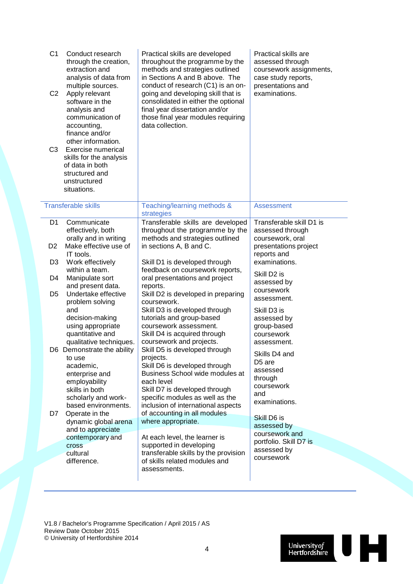| C <sub>1</sub><br>C <sub>2</sub><br>C <sub>3</sub> | Conduct research<br>through the creation,<br>extraction and<br>analysis of data from<br>multiple sources.<br>Apply relevant<br>software in the<br>analysis and<br>communication of<br>accounting,<br>finance and/or<br>other information.<br>Exercise numerical<br>skills for the analysis<br>of data in both<br>structured and<br>unstructured<br>situations. | Practical skills are developed<br>throughout the programme by the<br>methods and strategies outlined<br>in Sections A and B above. The<br>conduct of research (C1) is an on-<br>going and developing skill that is<br>consolidated in either the optional<br>final year dissertation and/or<br>those final year modules requiring<br>data collection. | Practical skills are<br>assessed through<br>coursework assignments,<br>case study reports,<br>presentations and<br>examinations. |
|----------------------------------------------------|----------------------------------------------------------------------------------------------------------------------------------------------------------------------------------------------------------------------------------------------------------------------------------------------------------------------------------------------------------------|-------------------------------------------------------------------------------------------------------------------------------------------------------------------------------------------------------------------------------------------------------------------------------------------------------------------------------------------------------|----------------------------------------------------------------------------------------------------------------------------------|
|                                                    | <b>Transferable skills</b>                                                                                                                                                                                                                                                                                                                                     | Teaching/learning methods &<br>strategies                                                                                                                                                                                                                                                                                                             | <b>Assessment</b>                                                                                                                |
| D <sub>1</sub>                                     | Communicate<br>effectively, both<br>orally and in writing                                                                                                                                                                                                                                                                                                      | Transferable skills are developed<br>throughout the programme by the<br>methods and strategies outlined                                                                                                                                                                                                                                               | Transferable skill D1 is<br>assessed through<br>coursework, oral                                                                 |
| D <sub>2</sub>                                     | Make effective use of<br>IT tools.                                                                                                                                                                                                                                                                                                                             | in sections A, B and C.                                                                                                                                                                                                                                                                                                                               | presentations project<br>reports and                                                                                             |
| D3                                                 | Work effectively                                                                                                                                                                                                                                                                                                                                               | Skill D1 is developed through                                                                                                                                                                                                                                                                                                                         | examinations.                                                                                                                    |
| D4                                                 | within a team.<br>Manipulate sort                                                                                                                                                                                                                                                                                                                              | feedback on coursework reports,<br>oral presentations and project                                                                                                                                                                                                                                                                                     | Skill D <sub>2</sub> is                                                                                                          |
|                                                    | and present data.                                                                                                                                                                                                                                                                                                                                              | reports.                                                                                                                                                                                                                                                                                                                                              | assessed by<br>coursework                                                                                                        |
| D <sub>5</sub>                                     | Undertake effective<br>problem solving                                                                                                                                                                                                                                                                                                                         | Skill D2 is developed in preparing<br>coursework.                                                                                                                                                                                                                                                                                                     | assessment.                                                                                                                      |
|                                                    | and                                                                                                                                                                                                                                                                                                                                                            | Skill D3 is developed through                                                                                                                                                                                                                                                                                                                         | Skill D3 is                                                                                                                      |
|                                                    | decision-making<br>using appropriate                                                                                                                                                                                                                                                                                                                           | tutorials and group-based<br>coursework assessment.                                                                                                                                                                                                                                                                                                   | assessed by                                                                                                                      |
|                                                    | quantitative and                                                                                                                                                                                                                                                                                                                                               | Skill D4 is acquired through                                                                                                                                                                                                                                                                                                                          | group-based<br>coursework                                                                                                        |
|                                                    | qualitative techniques.                                                                                                                                                                                                                                                                                                                                        | coursework and projects.                                                                                                                                                                                                                                                                                                                              | assessment.                                                                                                                      |
|                                                    | D6 Demonstrate the ability<br>to use                                                                                                                                                                                                                                                                                                                           | Skill D5 is developed through<br>projects.                                                                                                                                                                                                                                                                                                            | Skills D4 and                                                                                                                    |
|                                                    | academic,                                                                                                                                                                                                                                                                                                                                                      | Skill D6 is developed through                                                                                                                                                                                                                                                                                                                         | D <sub>5</sub> are                                                                                                               |
|                                                    | enterprise and                                                                                                                                                                                                                                                                                                                                                 | Business School wide modules at                                                                                                                                                                                                                                                                                                                       | assessed<br>through                                                                                                              |
|                                                    | employability<br>skills in both                                                                                                                                                                                                                                                                                                                                | each level<br>Skill D7 is developed through                                                                                                                                                                                                                                                                                                           | coursework                                                                                                                       |
|                                                    | scholarly and work-                                                                                                                                                                                                                                                                                                                                            | specific modules as well as the                                                                                                                                                                                                                                                                                                                       | and                                                                                                                              |
|                                                    | based environments.                                                                                                                                                                                                                                                                                                                                            | inclusion of international aspects                                                                                                                                                                                                                                                                                                                    | examinations.                                                                                                                    |
| D7                                                 | Operate in the<br>dynamic global arena                                                                                                                                                                                                                                                                                                                         | of accounting in all modules<br>where appropriate.                                                                                                                                                                                                                                                                                                    | Skill D6 is                                                                                                                      |
|                                                    | and to appreciate                                                                                                                                                                                                                                                                                                                                              |                                                                                                                                                                                                                                                                                                                                                       | assessed by                                                                                                                      |
|                                                    | contemporary and                                                                                                                                                                                                                                                                                                                                               | At each level, the learner is                                                                                                                                                                                                                                                                                                                         | coursework and<br>portfolio. Skill D7 is                                                                                         |
|                                                    | <b>Cross</b><br>cultural                                                                                                                                                                                                                                                                                                                                       | supported in developing<br>transferable skills by the provision                                                                                                                                                                                                                                                                                       | assessed by                                                                                                                      |
|                                                    | difference.                                                                                                                                                                                                                                                                                                                                                    | of skills related modules and                                                                                                                                                                                                                                                                                                                         | coursework                                                                                                                       |
|                                                    |                                                                                                                                                                                                                                                                                                                                                                | assessments.                                                                                                                                                                                                                                                                                                                                          |                                                                                                                                  |
|                                                    |                                                                                                                                                                                                                                                                                                                                                                |                                                                                                                                                                                                                                                                                                                                                       |                                                                                                                                  |

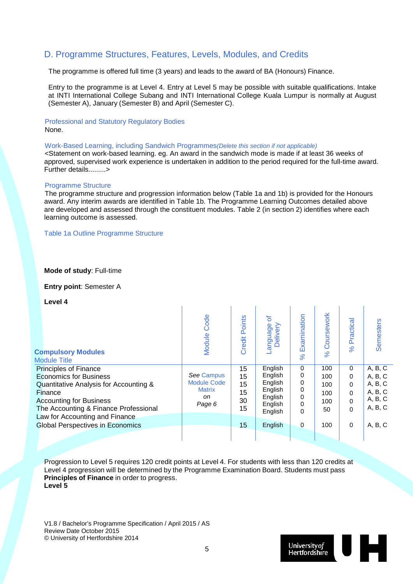#### D. Programme Structures, Features, Levels, Modules, and Credits

The programme is offered full time (3 years) and leads to the award of BA (Honours) Finance.

Entry to the programme is at Level 4. Entry at Level 5 may be possible with suitable qualifications. Intake at INTI International College Subang and INTI International College Kuala Lumpur is normally at August (Semester A), January (Semester B) and April (Semester C).

#### Professional and Statutory Regulatory Bodies None.

Work-Based Learning, including Sandwich Programmes*(Delete this section if not applicable)*

<Statement on work-based learning. eg. An award in the sandwich mode is made if at least 36 weeks of approved, supervised work experience is undertaken in addition to the period required for the full-time award. Further details.........>

#### Programme Structure

The programme structure and progression information below (Table 1a and 1b) is provided for the Honours award. Any interim awards are identified in Table 1b. The Programme Learning Outcomes detailed above are developed and assessed through the constituent modules. Table 2 (in section 2) identifies where each learning outcome is assessed.

Table 1a Outline Programme Structure

#### **Mode of study**: Full-time

**Entry point**: Semester A

**Level 4**

| <b>Compulsory Modules</b><br><b>Module Title</b>                                                                                                                                              | Code<br>Module                                                    | <b>Credit Points</b>             | ৳<br>Delivery<br>anguage.                                                 | Examination<br>$\aleph$         | Coursework<br>$\aleph$                | Practical<br>8 <sup>o</sup>                                   | Semesters                                                      |
|-----------------------------------------------------------------------------------------------------------------------------------------------------------------------------------------------|-------------------------------------------------------------------|----------------------------------|---------------------------------------------------------------------------|---------------------------------|---------------------------------------|---------------------------------------------------------------|----------------------------------------------------------------|
| <b>Principles of Finance</b><br><b>Economics for Business</b><br>Quantitative Analysis for Accounting &<br>Finance<br><b>Accounting for Business</b><br>The Accounting & Finance Professional | See Campus<br><b>Module Code</b><br><b>Matrix</b><br>on<br>Page 6 | 15<br>15<br>15<br>15<br>30<br>15 | English<br>English<br>English<br>English<br>English<br>English<br>English | 0<br>0<br>0<br>0<br>0<br>0<br>0 | 100<br>100<br>100<br>100<br>100<br>50 | $\Omega$<br>0<br>$\Omega$<br>$\Omega$<br>$\Omega$<br>$\Omega$ | A, B, C<br>A, B, C<br>A, B, C<br>A, B, C<br>A, B, C<br>A, B, C |
| Law for Accounting and Finance<br><b>Global Perspectives in Economics</b>                                                                                                                     |                                                                   | 15                               | English                                                                   | 0                               | 100                                   | $\Omega$                                                      | A, B, C                                                        |

Progression to Level 5 requires 120 credit points at Level 4. For students with less than 120 credits at Level 4 progression will be determined by the Programme Examination Board. Students must pass **Principles of Finance** in order to progress. **Level 5**

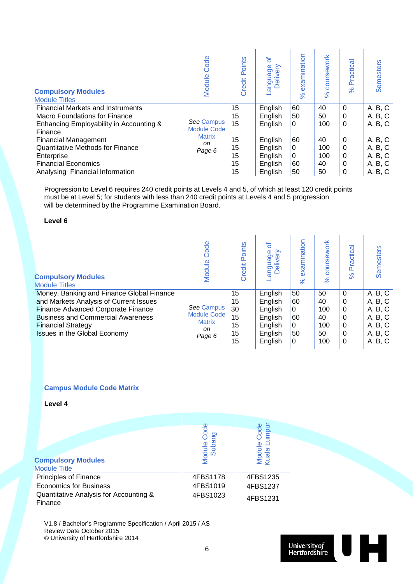| <b>Compulsory Modules</b><br><b>Module Titles</b> | Code<br>Module                   | Points<br>Credit | ৳<br>anguage<br>Delivery | examination<br>$\aleph$ | coursework<br>$\aleph$ | Practica<br>8 <sup>o</sup> | Semesters |
|---------------------------------------------------|----------------------------------|------------------|--------------------------|-------------------------|------------------------|----------------------------|-----------|
| <b>Financial Markets and Instruments</b>          |                                  | 15               | English                  | 60                      | 40                     | $\Omega$                   | A, B, C   |
| Macro Foundations for Finance                     |                                  | 15               | English                  | 50                      | 50                     | 0                          | A, B, C   |
| Enhancing Employability in Accounting &           | See Campus<br><b>Module Code</b> | 15               | English                  | 0                       | 100                    | $\Omega$                   | A, B, C   |
| Finance                                           | <b>Matrix</b>                    |                  |                          |                         |                        |                            |           |
| <b>Financial Management</b>                       | on                               | 15               | English                  | 60                      | 40                     | 0                          | A, B, C   |
| <b>Quantitative Methods for Finance</b>           | Page 6                           | 15               | English                  | 0                       | 100                    | 0                          | A, B, C   |
| Enterprise                                        |                                  | 15               | English                  | 0                       | 100                    | 0                          | A, B, C   |
| <b>Financial Economics</b>                        |                                  | 15               | English                  | 60                      | 40                     | 0                          | A, B, C   |
| Analysing Financial Information                   |                                  | 15               | English                  | 50                      | 50                     | 0                          | A, B, C   |

Progression to Level 6 requires 240 credit points at Levels 4 and 5, of which at least 120 credit points must be at Level 5; for students with less than 240 credit points at Levels 4 and 5 progression will be determined by the Programme Examination Board.

#### **Level 6**

| <b>Compulsory Modules</b><br><b>Module Titles</b>                                                                                                                                                                                         | Code<br>Module                                                    | Points<br>Credit                       | ৳<br>age<br>Deli<br>angua                                                 | examination<br>$\aleph$             | 'sework<br>$\aleph$                       | ractical<br>۵<br>$\aleph$                                   | <b>Semesters</b>                                                          |
|-------------------------------------------------------------------------------------------------------------------------------------------------------------------------------------------------------------------------------------------|-------------------------------------------------------------------|----------------------------------------|---------------------------------------------------------------------------|-------------------------------------|-------------------------------------------|-------------------------------------------------------------|---------------------------------------------------------------------------|
| Money, Banking and Finance Global Finance<br>and Markets Analysis of Current Issues<br><b>Finance Advanced Corporate Finance</b><br><b>Business and Commercial Awareness</b><br><b>Financial Strategy</b><br>Issues in the Global Economy | See Campus<br><b>Module Code</b><br><b>Matrix</b><br>on<br>Page 6 | 15<br>15<br>30<br>15<br>15<br>15<br>15 | English<br>English<br>English<br>English<br>English<br>English<br>English | 50<br>60<br>0<br>60<br>0<br>50<br>0 | 50<br>40<br>100<br>40<br>100<br>50<br>100 | $\Omega$<br>$\Omega$<br>0<br>0<br>0<br>$\Omega$<br>$\Omega$ | A, B, C<br>A, B, C<br>A, B, C<br>A, B, C<br>A, B, C<br>A, B, C<br>A, B, C |

#### **Campus Module Code Matrix**

**Level 4**

| <b>Compulsory Modules</b><br><b>Module Title</b>  | Code<br>Ing<br>Module ( | ocode<br>Module (<br>Kuala Lu |
|---------------------------------------------------|-------------------------|-------------------------------|
| <b>Principles of Finance</b>                      | 4FBS1178                | 4FBS1235                      |
| <b>Economics for Business</b>                     | 4FBS1019                | 4FBS1237                      |
| Quantitative Analysis for Accounting &<br>Finance | 4FBS1023                | 4FBS1231                      |

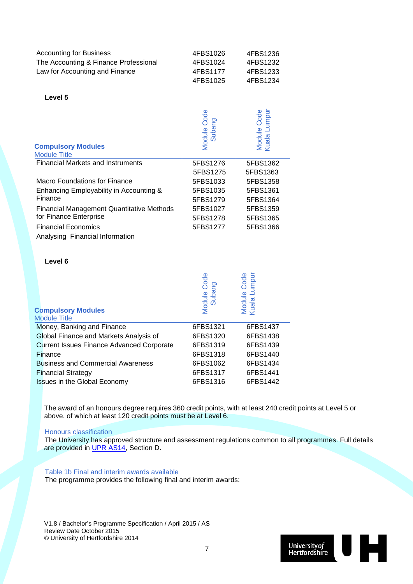| <b>Accounting for Business</b>        | 4FBS1026 | 4FBS1236 |
|---------------------------------------|----------|----------|
| The Accounting & Finance Professional | 4FBS1024 | 4FBS1232 |
| Law for Accounting and Finance        | 4FBS1177 | 4FBS1233 |
|                                       | 4FBS1025 | 4FBS1234 |

#### **Level 5**

| <b>Compulsory Modules</b><br><b>Module Title</b> | Module Code<br>Subang | Module Code<br>Kuala Lumpur |
|--------------------------------------------------|-----------------------|-----------------------------|
| <b>Financial Markets and Instruments</b>         | 5FBS1276              | 5FBS1362                    |
|                                                  | 5FBS1275              | 5FBS1363                    |
| Macro Foundations for Finance                    | 5FBS1033              | 5FBS1358                    |
| Enhancing Employability in Accounting &          | 5FBS1035              | 5FBS1361                    |
| Finance                                          | 5FBS1279              | 5FBS1364                    |
| <b>Financial Management Quantitative Methods</b> | 5FBS1027              | 5FBS1359                    |
| for Finance Enterprise                           | 5FBS1278              | 5FBS1365                    |
| <b>Financial Economics</b>                       | 5FBS1277              | 5FBS1366                    |
| Analysing Financial Information                  |                       |                             |

#### **Level 6**

| <b>Compulsory Modules</b><br><b>Module Title</b> | Code<br>Ō<br>Module Co | Module Code<br>Kuala Lumpur |
|--------------------------------------------------|------------------------|-----------------------------|
| Money, Banking and Finance                       | 6FBS1321               | 6FBS1437                    |
| Global Finance and Markets Analysis of           | 6FBS1320               | 6FBS1438                    |
| <b>Current Issues Finance Advanced Corporate</b> | 6FBS1319               | 6FBS1439                    |
| Finance                                          | 6FBS1318               | 6FBS1440                    |
| <b>Business and Commercial Awareness</b>         | 6FBS1062               | 6FBS1434                    |
| <b>Financial Strategy</b>                        | 6FBS1317               | 6FBS1441                    |
| Issues in the Global Economy                     | 6FBS1316               | 6FBS1442                    |

The award of an honours degree requires 360 credit points, with at least 240 credit points at Level 5 or above, of which at least 120 credit points must be at Level 6.

#### Honours classification

The University has approved structure and assessment regulations common to all programmes. Full details are provided in [UPR AS14,](http://sitem.herts.ac.uk/secreg/upr/pdf/AS14-Structure%20and%20Assessment%20Regs%20-%20Undergrad%20and%20Taught%20Postgrad%20Programmes-v04%200.pdf) Section D.

#### Table 1b Final and interim awards available

The programme provides the following final and interim awards:

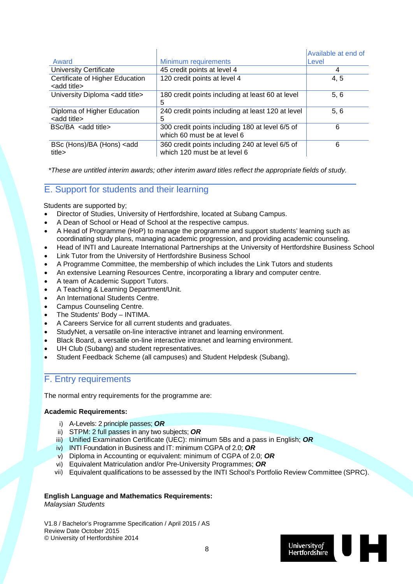|                                                         |                                                                                 | Available at end of |
|---------------------------------------------------------|---------------------------------------------------------------------------------|---------------------|
| Award                                                   | Minimum requirements                                                            | Level               |
| <b>University Certificate</b>                           | 45 credit points at level 4                                                     | 4                   |
| Certificate of Higher Education<br><add title=""></add> | 120 credit points at level 4                                                    | 4, 5                |
| University Diploma <add title=""></add>                 | 180 credit points including at least 60 at level<br>5                           | 5, 6                |
| Diploma of Higher Education<br><add title=""></add>     | 240 credit points including at least 120 at level<br>5                          | 5, 6                |
| $BSc/BA$ <add title=""></add>                           | 300 credit points including 180 at level 6/5 of<br>which 60 must be at level 6  | 6                   |
| BSc (Hons)/BA (Hons) <add<br>title&gt;</add<br>         | 360 credit points including 240 at level 6/5 of<br>which 120 must be at level 6 | 6                   |

*\*These are untitled interim awards; other interim award titles reflect the appropriate fields of study.*

#### E. Support for students and their learning

Students are supported by;

- Director of Studies, University of Hertfordshire, located at Subang Campus.
- A Dean of School or Head of School at the respective campus.
- A Head of Programme (HoP) to manage the programme and support students' learning such as coordinating study plans, managing academic progression, and providing academic counseling.
- Head of INTI and Laureate International Partnerships at the University of Hertfordshire Business School
- Link Tutor from the University of Hertfordshire Business School
- A Programme Committee, the membership of which includes the Link Tutors and students
- An extensive Learning Resources Centre, incorporating a library and computer centre.
- A team of Academic Support Tutors.
- A Teaching & Learning Department/Unit.
- An International Students Centre.
- Campus Counseling Centre.
- The Students' Body INTIMA.
- A Careers Service for all current students and graduates.
- StudyNet, a versatile on-line interactive intranet and learning environment.
- Black Board, a versatile on-line interactive intranet and learning environment.
- UH Club (Subang) and student representatives.
- Student Feedback Scheme (all campuses) and Student Helpdesk (Subang).

#### F. Entry requirements

The normal entry requirements for the programme are:

#### **Academic Requirements:**

- i) A-Levels: 2 principle passes; *OR*
- ii) STPM: 2 full passes in any two subjects; *OR*
- iii) Unified Examination Certificate (UEC): minimum 5Bs and a pass in English; *OR*
- iv) INTI Foundation in Business and IT: minimum CGPA of 2.0; *OR*
- v) Diploma in Accounting or equivalent: minimum of CGPA of 2.0; *OR*
- vi) Equivalent Matriculation and/or Pre-University Programmes; *OR*
- vii) Equivalent qualifications to be assessed by the INTI School's Portfolio Review Committee (SPRC).

#### **English Language and Mathematics Requirements:**

*Malaysian Students*

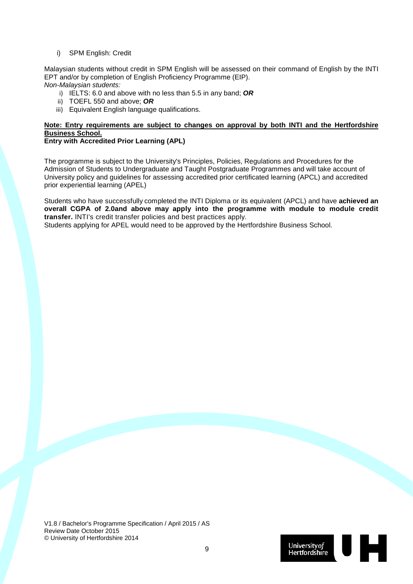#### i) SPM English: Credit

Malaysian students without credit in SPM English will be assessed on their command of English by the INTI EPT and/or by completion of English Proficiency Programme (EIP). *Non-Malaysian students:*

- i) IELTS: 6.0 and above with no less than 5.5 in any band; *OR*
- ii) TOEFL 550 and above; *OR*
- iii) Equivalent English language qualifications.

#### **Note: Entry requirements are subject to changes on approval by both INTI and the Hertfordshire Business School.**

#### **Entry with Accredited Prior Learning (APL)**

The programme is subject to the University's Principles, Policies, Regulations and Procedures for the Admission of Students to Undergraduate and Taught Postgraduate Programmes and will take account of University policy and guidelines for assessing accredited prior certificated learning (APCL) and accredited prior experiential learning (APEL)

Students who have successfully completed the INTI Diploma or its equivalent (APCL) and have **achieved an overall CGPA of 2.0and above may apply into the programme with module to module credit transfer.** INTI's credit transfer policies and best practices apply.

Students applying for APEL would need to be approved by the Hertfordshire Business School.

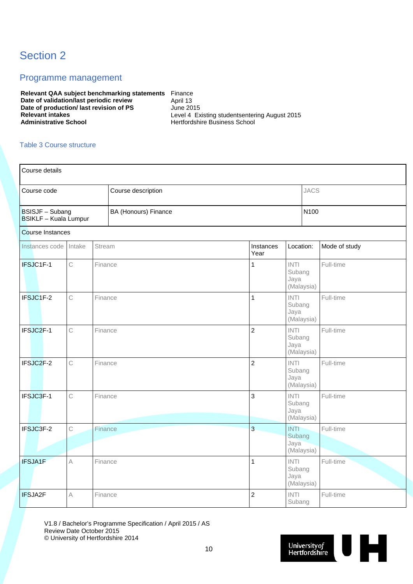### Section 2

#### Programme management

**Relevant QAA subject benchmarking statements** Finance **Date of validation/last periodic review Figure 4. April 13 Date of production/ last revision of PS** June 2015<br>Relevant intakes Level 4 Ex **Relevant intakes**<br> **Relevant intakes**<br> **Administrative School**<br> **Administrative School**<br> **Administrative School**<br> **Administrative School** 

**Administrative School** Hertfordshire Business School

#### Table 3 Course structure

| Course details                                       |              |         |                      |                   |                               |            |               |
|------------------------------------------------------|--------------|---------|----------------------|-------------------|-------------------------------|------------|---------------|
| Course code<br>Course description                    |              |         |                      | <b>JACS</b>       |                               |            |               |
| <b>BSISJF-Subang</b><br><b>BSIKLF</b> - Kuala Lumpur |              |         | BA (Honours) Finance |                   |                               |            | N100          |
| <b>Course Instances</b>                              |              |         |                      |                   |                               |            |               |
| Instances code                                       | Intake       | Stream  |                      | Instances<br>Year |                               | Location:  | Mode of study |
| IFSJC1F-1                                            | $\mathsf C$  | Finance |                      | 1                 | <b>INTI</b><br>Subang<br>Jaya | (Malaysia) | Full-time     |
| IFSJC1F-2                                            | $\mathsf{C}$ | Finance |                      | $\overline{1}$    | <b>INTI</b><br>Subang<br>Jaya | (Malaysia) | Full-time     |
| IFSJC2F-1                                            | $\mathbb C$  | Finance |                      | $\overline{2}$    | <b>INTI</b><br>Subang<br>Jaya | (Malaysia) | Full-time     |
| IFSJC2F-2                                            | $\mathbb C$  | Finance |                      | $\overline{2}$    | INTI<br>Subang<br>Jaya        | (Malaysia) | Full-time     |
| IFSJC3F-1                                            | $\mathbb C$  | Finance |                      | 3                 | <b>INTI</b><br>Subang<br>Jaya | (Malaysia) | Full-time     |
| IFSJC3F-2                                            | $\mathbb C$  | Finance |                      | $\overline{3}$    | <b>INTI</b><br>Subang<br>Jaya | (Malaysia) | Full-time     |
| <b>IFSJA1F</b>                                       | A            | Finance |                      | $\mathbf{1}$      | INTI<br>Subang<br>Jaya        | (Malaysia) | Full-time     |
| IFSJA2F                                              | Α            | Finance |                      | $\overline{2}$    | <b>INTI</b><br>Subang         |            | Full-time     |

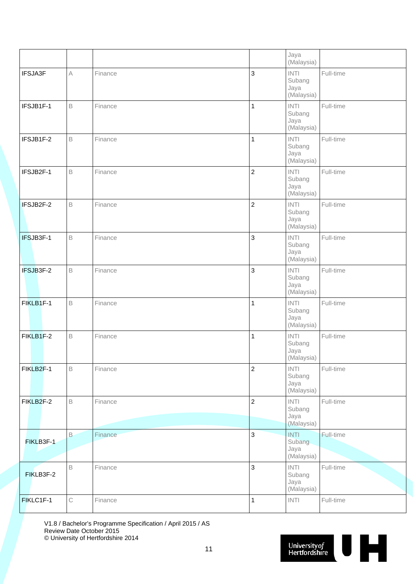|           |             |         |                | Jaya<br>(Malaysia)                                |           |
|-----------|-------------|---------|----------------|---------------------------------------------------|-----------|
| IFSJA3F   | $\wedge$    | Finance | 3              | <b>INTI</b><br>Subang<br>Jaya<br>(Malaysia)       | Full-time |
| IFSJB1F-1 | B           | Finance | 1              | INTI<br>Subang<br>Jaya<br>(Malaysia)              | Full-time |
| IFSJB1F-2 | $\mathsf B$ | Finance | $\mathbf{1}$   | <b>INTI</b><br>Subang<br>Jaya<br>(Malaysia)       | Full-time |
| IFSJB2F-1 | $\mathsf B$ | Finance | $\overline{c}$ | <b>INTI</b><br>Subang<br>Jaya<br>(Malaysia)       | Full-time |
| IFSJB2F-2 | $\mathsf B$ | Finance | $\overline{c}$ | $\textsf{INTI}{}$<br>Subang<br>Jaya<br>(Malaysia) | Full-time |
| IFSJB3F-1 | $\mathsf B$ | Finance | 3              | $\textsf{INTI}{}$<br>Subang<br>Jaya<br>(Malaysia) | Full-time |
| IFSJB3F-2 | B           | Finance | 3              | $\textsf{INTI}{}$<br>Subang<br>Jaya<br>(Malaysia) | Full-time |
| FIKLB1F-1 | $\mathsf B$ | Finance | 1              | $\textsf{INTI}{}$<br>Subang<br>Jaya<br>(Malaysia) | Full-time |
| FIKLB1F-2 | $\mathsf B$ | Finance | 1              | $\textsf{INTI}{}$<br>Subang<br>Jaya<br>(Malaysia) | Full-time |
| FIKLB2F-1 | $\mathsf B$ | Finance | $\overline{2}$ | INTI<br>Subang<br>Jaya<br>(Malaysia)              | Full-time |
| FIKLB2F-2 | $\mathsf B$ | Finance | $\overline{c}$ | <b>INTI</b><br>Subang<br>Jaya<br>(Malaysia)       | Full-time |
| FIKLB3F-1 | $\,$ B      | Finance | 3              | <b>INTI</b><br>Subang<br>Jaya<br>(Malaysia)       | Full-time |
| FIKLB3F-2 | $\mathsf B$ | Finance | 3              | INTI<br>Subang<br>Jaya<br>(Malaysia)              | Full-time |
| FIKLC1F-1 | $\mathsf C$ | Finance | $\mathbf{1}$   | $\textsf{INTI}{}$                                 | Full-time |

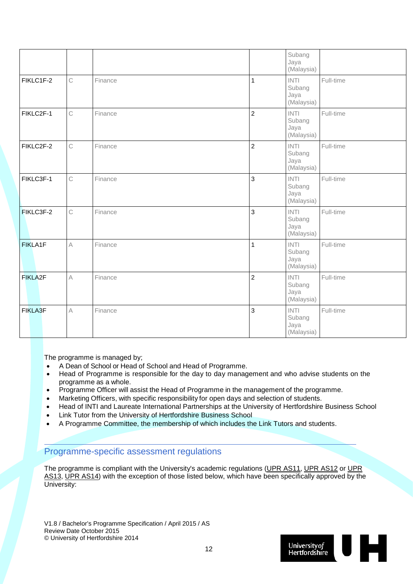|           |              |         |                | Subang<br>Jaya<br>(Malaysia)                |           |
|-----------|--------------|---------|----------------|---------------------------------------------|-----------|
| FIKLC1F-2 | $\mathbb C$  | Finance | 1              | <b>INTI</b><br>Subang<br>Jaya<br>(Malaysia) | Full-time |
| FIKLC2F-1 | $\mathsf{C}$ | Finance | $\overline{2}$ | <b>INTI</b><br>Subang<br>Jaya<br>(Malaysia) | Full-time |
| FIKLC2F-2 | $\mathsf{C}$ | Finance | $\overline{2}$ | <b>INTI</b><br>Subang<br>Jaya<br>(Malaysia) | Full-time |
| FIKLC3F-1 | $\mathsf{C}$ | Finance | $\overline{3}$ | <b>INTI</b><br>Subang<br>Jaya<br>(Malaysia) | Full-time |
| FIKLC3F-2 | $\mathbb C$  | Finance | $\mathbf{3}$   | <b>INTI</b><br>Subang<br>Jaya<br>(Malaysia) | Full-time |
| FIKLA1F   | $\forall$    | Finance | $\overline{1}$ | <b>INTI</b><br>Subang<br>Jaya<br>(Malaysia) | Full-time |
| FIKLA2F   | $\mathbb A$  | Finance | $\overline{2}$ | <b>INTI</b><br>Subang<br>Jaya<br>(Malaysia) | Full-time |
| FIKLA3F   | $\mathbb A$  | Finance | $\mathbf{3}$   | <b>INTI</b><br>Subang<br>Jaya<br>(Malaysia) | Full-time |

The programme is managed by;

- A Dean of School or Head of School and Head of Programme.
- Head of Programme is responsible for the day to day management and who advise students on the programme as a whole.
- Programme Officer will assist the Head of Programme in the management of the programme.
- Marketing Officers, with specific responsibility for open days and selection of students.
- Head of INTI and Laureate International Partnerships at the University of Hertfordshire Business School
- Link Tutor from the University of Hertfordshire Business School
- A Programme Committee, the membership of which includes the Link Tutors and students.

#### Programme-specific assessment regulations

The programme is compliant with the University's academic regulations [\(UPR AS11,](http://sitem.herts.ac.uk/secreg/upr/AS11.htm) [UPR AS12](http://sitem.herts.ac.uk/secreg/upr/AS12.htm) or UPR [AS13,](http://sitem.herts.ac.uk/secreg/upr/AS13.htm) [UPR AS14\)](http://sitem.herts.ac.uk/secreg/upr/AS14.htm) with the exception of those listed below, which have been specifically approved by the University:

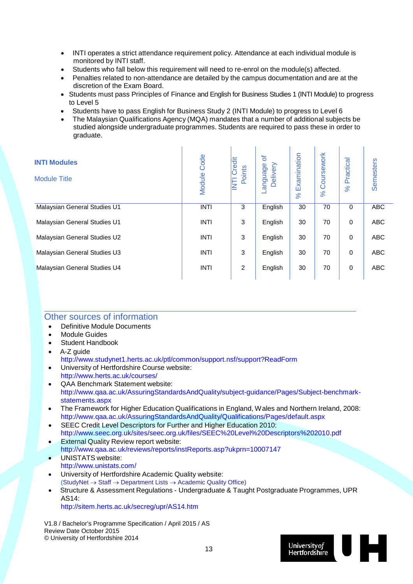- INTI operates a strict attendance requirement policy. Attendance at each individual module is monitored by INTI staff.
- Students who fall below this requirement will need to re-enrol on the module(s) affected.
- Penalties related to non-attendance are detailed by the campus documentation and are at the discretion of the Exam Board.
- Students must pass Principles of Finance and English for Business Studies 1 (INTI Module) to progress to Level 5

 $\sim 10^7$ 

 $\mathbf{r}$ 

- Students have to pass English for Business Study 2 (INTI Module) to progress to Level 6
- The Malaysian Qualifications Agency (MQA) mandates that a number of additional subjects be studied alongside undergraduate programmes. Students are required to pass these in order to graduate.

| <b>INTI Modules</b><br><b>Module Title</b> | Code<br>Module | Credit<br>Points<br>E | ৳<br>Delivery<br>anguage. | Examination<br>8 <sup>o</sup> | Coursework<br>$\aleph$ | ractical<br>$\Omega$<br>$\aleph$ | <b>Semesters</b> |
|--------------------------------------------|----------------|-----------------------|---------------------------|-------------------------------|------------------------|----------------------------------|------------------|
| Malaysian General Studies U1               | <b>INTI</b>    | 3                     | English                   | 30                            | 70                     | $\mathbf 0$                      | <b>ABC</b>       |
| Malaysian General Studies U1               | <b>INTI</b>    | 3                     | English                   | 30                            | 70                     | 0                                | <b>ABC</b>       |
| Malaysian General Studies U2               | <b>INTI</b>    | 3                     | English                   | 30                            | 70                     | 0                                | <b>ABC</b>       |
| Malaysian General Studies U3               | <b>INTI</b>    | 3                     | English                   | 30                            | 70                     | 0                                | <b>ABC</b>       |
| Malaysian General Studies U4               | <b>INTI</b>    | 2                     | English                   | 30                            | 70                     | 0                                | <b>ABC</b>       |

#### Other sources of information

- Definitive Module Documents
- Module Guides
- Student Handbook
- A-Z guide
- <http://www.studynet1.herts.ac.uk/ptl/common/support.nsf/support?ReadForm>
- University of Hertfordshire Course website: <http://www.herts.ac.uk/courses/>
- QAA Benchmark Statement website: [http://www.qaa.ac.uk/AssuringStandardsAndQuality/subject-guidance/Pages/Subject-benchmark](http://www.qaa.ac.uk/AssuringStandardsAndQuality/subject-guidance/Pages/Subject-benchmark-statements.aspx)[statements.aspx](http://www.qaa.ac.uk/AssuringStandardsAndQuality/subject-guidance/Pages/Subject-benchmark-statements.aspx)
- The Framework for Higher Education Qualifications in England, Wales and Northern Ireland, 2008: <http://www.qaa.ac.uk/AssuringStandardsAndQuality/Qualifications/Pages/default.aspx>
- SEEC Credit Level Descriptors for Further and Higher Education 2010: <http://www.seec.org.uk/sites/seec.org.uk/files/SEEC%20Level%20Descriptors%202010.pdf>
- **External Quality Review report website:** <http://www.qaa.ac.uk/reviews/reports/instReports.asp?ukprn=10007147>
- UNISTATS website: http://www.unistats.com/
- University of Hertfordshire Academic Quality website: (StudyNet → Staff → Department Lists → Academic Quality Office)
- Structure & Assessment Regulations Undergraduate & Taught Postgraduate Programmes, UPR AS14:

<http://sitem.herts.ac.uk/secreg/upr/AS14.htm>

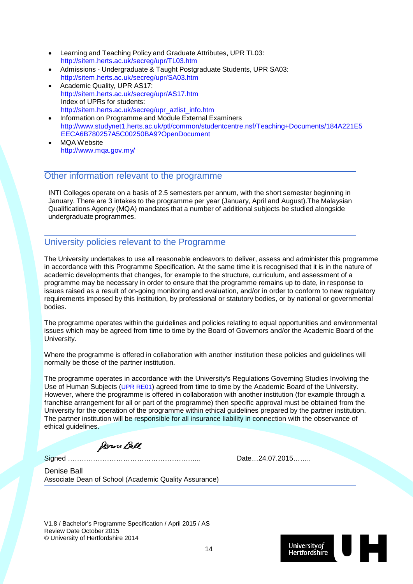- Learning and Teaching Policy and Graduate Attributes, UPR TL03: http://sitem.herts.ac.uk/secreg/upr/TL03.htm
- Admissions Undergraduate & Taught Postgraduate Students, UPR SA03: <http://sitem.herts.ac.uk/secreg/upr/SA03.htm>
- Academic Quality, UPR AS17: <http://sitem.herts.ac.uk/secreg/upr/AS17.htm> Index of UPRs for students: [http://sitem.herts.ac.uk/secreg/upr\\_azlist\\_info.htm](http://sitem.herts.ac.uk/secreg/upr_azlist_info.htm)
- Information on Programme and Module External Examiners [http://www.studynet1.herts.ac.uk/ptl/common/studentcentre.nsf/Teaching+Documents/184A221E5](http://www.studynet1.herts.ac.uk/ptl/common/studentcentre.nsf/Teaching%2BDocuments/184A221E5EECA6B780257A5C00250BA9?OpenDocument) [EECA6B780257A5C00250BA9?OpenDocument](http://www.studynet1.herts.ac.uk/ptl/common/studentcentre.nsf/Teaching%2BDocuments/184A221E5EECA6B780257A5C00250BA9?OpenDocument)
- MQA Website http://www.mqa.gov.my/

#### Other information relevant to the programme

INTI Colleges operate on a basis of 2.5 semesters per annum, with the short semester beginning in January. There are 3 intakes to the programme per year (January, April and August).The Malaysian Qualifications Agency (MQA) mandates that a number of additional subjects be studied alongside undergraduate programmes.

#### University policies relevant to the Programme

The University undertakes to use all reasonable endeavors to deliver, assess and administer this programme in accordance with this Programme Specification. At the same time it is recognised that it is in the nature of academic developments that changes, for example to the structure, curriculum, and assessment of a programme may be necessary in order to ensure that the programme remains up to date, in response to issues raised as a result of on-going monitoring and evaluation, and/or in order to conform to new regulatory requirements imposed by this institution, by professional or statutory bodies, or by national or governmental bodies.

The programme operates within the guidelines and policies relating to equal opportunities and environmental issues which may be agreed from time to time by the Board of Governors and/or the Academic Board of the University.

Where the programme is offered in collaboration with another institution these policies and guidelines will normally be those of the partner institution.

The programme operates in accordance with the University's Regulations Governing Studies Involving the Use of Human Subjects [\(UPR RE01\)](http://sitem.herts.ac.uk/secreg/upr/RE01.htm) agreed from time to time by the Academic Board of the University. However, where the programme is offered in collaboration with another institution (for example through a franchise arrangement for all or part of the programme) then specific approval must be obtained from the University for the operation of the programme within ethical guidelines prepared by the partner institution. The partner institution will be responsible for all insurance liability in connection with the observance of ethical guidelines.

Denne Ball

Signed ……………………………………………….... Date…24.07.2015……..

Denise Ball Associate Dean of School (Academic Quality Assurance)

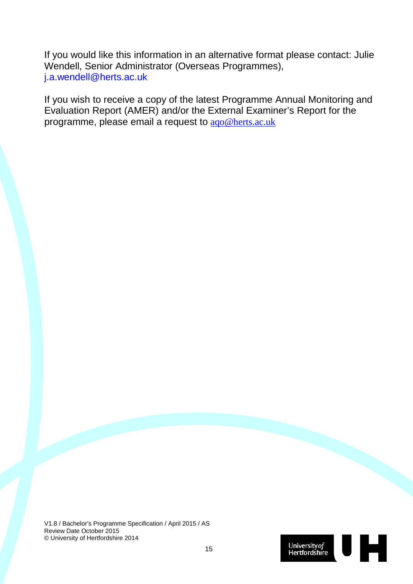If you would like this information in an alternative format please contact: Julie Wendell, Senior Administrator (Overseas Programmes), [j.a.wendell@herts.ac.uk](mailto:j.a.wendell@herts.ac.uk)

If you wish to receive a copy of the latest Programme Annual Monitoring and Evaluation Report (AMER) and/or the External Examiner's Report for the programme, please email a request to [aqo@herts.ac.uk](mailto:aqo@herts.ac.uk)

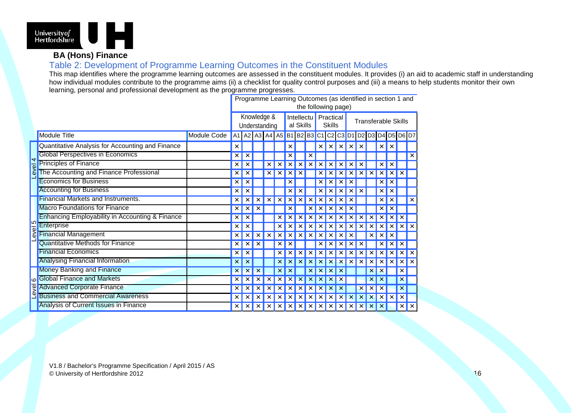

### **BA (Hons) Finance**

Table 2: Development of Programme Learning Outcomes in the Constituent Modules

This map identifies where the programme learning outcomes are assessed in the constituent modules. It provides (i) an aid to academic staff in understanding how individual modules contribute to the programme aims (ii) a checklist for quality control purposes and (iii) a means to help students monitor their own learning, personal and professional development as the programme progresses.

|         | Programme Learning Outcomes (as identified in section 1 and<br>the following page) |             |                              |          |   |                                       |                         |   |   |                                   |   |   |                            |          |   |                           |                           |                               |          |                     |
|---------|------------------------------------------------------------------------------------|-------------|------------------------------|----------|---|---------------------------------------|-------------------------|---|---|-----------------------------------|---|---|----------------------------|----------|---|---------------------------|---------------------------|-------------------------------|----------|---------------------|
|         |                                                                                    |             | Knowledge &<br>Understanding |          |   |                                       | Intellectu<br>al Skills |   |   | <b>Practical</b><br><b>Skills</b> |   |   | <b>Transferable Skills</b> |          |   |                           |                           |                               |          |                     |
|         | <b>Module Title</b>                                                                | Module Code |                              |          |   | A1   A2   A3   A4   A5   B1   B2   B3 |                         |   |   |                                   |   |   |                            |          |   |                           |                           | C1 C2 C3 D1 D2 D3 D4 D5 D6 D7 |          |                     |
|         | Quantitative Analysis for Accounting and Finance                                   |             | $\times$                     |          |   |                                       |                         |   |   |                                   |   |   | ×                          | $\times$ | × |                           | $\times$                  | $\times$                      |          |                     |
| 4       | <b>Global Perspectives in Economics</b>                                            |             | $\times$                     |          |   |                                       |                         |   |   |                                   |   |   |                            |          |   |                           |                           |                               |          | ×                   |
|         | <b>Principles of Finance</b>                                                       |             | $\times$                     |          |   |                                       |                         |   |   |                                   |   |   |                            |          |   |                           | ×                         | ×                             |          |                     |
| Level   | The Accounting and Finance Professional                                            |             |                              |          |   |                                       |                         |   |   |                                   |   |   |                            |          |   |                           |                           |                               |          |                     |
|         | <b>Economics for Business</b>                                                      |             | $\times$                     |          |   |                                       |                         |   |   |                                   |   |   |                            |          |   |                           |                           |                               |          |                     |
|         | <b>Accounting for Business</b>                                                     |             |                              |          |   |                                       |                         |   |   |                                   |   |   |                            |          |   |                           |                           |                               |          |                     |
|         | <b>Financial Markets and Instruments.</b>                                          |             |                              |          |   |                                       |                         |   |   |                                   |   |   |                            |          |   |                           | ×                         |                               |          | ×                   |
|         | <b>Macro Foundations for Finance</b>                                               |             |                              |          |   |                                       |                         |   |   |                                   |   |   |                            |          |   |                           |                           |                               |          |                     |
|         | <b>Enhancing Employability in Accounting &amp; Finance</b>                         |             | ×                            |          |   |                                       |                         |   |   |                                   |   |   |                            |          |   |                           |                           |                               | ×        |                     |
| Level 5 | Enterprise                                                                         |             |                              |          |   |                                       |                         |   |   |                                   |   |   |                            |          |   |                           |                           |                               |          |                     |
|         | <b>Financial Management</b>                                                        |             |                              |          |   |                                       |                         |   |   |                                   |   |   |                            |          |   |                           |                           |                               |          |                     |
|         | <b>Quantitative Methods for Finance</b>                                            |             | $\times$                     | $\times$ |   |                                       |                         |   |   |                                   |   |   |                            |          |   |                           |                           |                               | ×        |                     |
|         | <b>Financial Economics</b>                                                         |             | $\times$                     |          |   |                                       |                         |   |   |                                   |   |   |                            |          |   |                           |                           |                               |          | $\times$            |
|         | <b>Analysing Financial Information</b>                                             |             | $\times$                     |          |   |                                       |                         |   |   |                                   |   |   |                            |          |   |                           |                           |                               |          |                     |
|         | <b>Money Banking and Finance</b>                                                   |             |                              |          |   |                                       |                         |   |   |                                   |   |   |                            |          |   |                           |                           |                               | ×        |                     |
| $\circ$ | <b>Global Finance and Markets</b>                                                  |             |                              |          |   |                                       |                         |   |   |                                   |   |   |                            |          |   |                           |                           |                               | ×        |                     |
| Level   | <b>Advanced Corporate Finance</b>                                                  |             |                              |          |   |                                       |                         |   |   |                                   |   |   |                            |          |   |                           |                           |                               | ×        |                     |
|         | <b>Business and Commercial Awareness</b>                                           |             | ×                            |          |   |                                       |                         |   |   |                                   |   |   |                            |          |   |                           |                           |                               | $\times$ |                     |
|         | Analysis of Current Issues in Finance                                              |             | $\times$                     | $\times$ | × | ×                                     | ×                       | × | x | x                                 | × | × | ×                          | $\times$ | × | $\boldsymbol{\mathsf{x}}$ | $\boldsymbol{\mathsf{x}}$ |                               | $\times$ | $\mathsf{I} \times$ |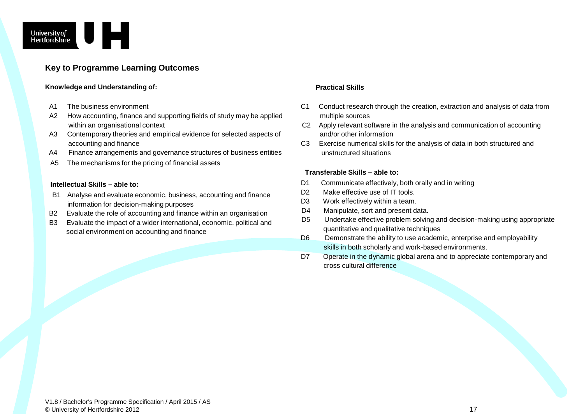

#### **Key to Programme Learning Outcomes**

#### **Knowledge and Understanding of: Practical Skills**

- A1 The business environment
- A2 How accounting, finance and supporting fields of study may be applied within an organisational context
- A3 Contemporary theories and empirical evidence for selected aspects of accounting and finance
- A4 Finance arrangements and governance structures of business entities
- A5 The mechanisms for the pricing of financial assets

#### **Intellectual Skills – able to:**

- B1 Analyse and evaluate economic, business, accounting and finance information for decision-making purposes
- B2 Evaluate the role of accounting and finance within an organisation
- B3 Evaluate the impact of a wider international, economic, political and social environment on accounting and finance

- C1 Conduct research through the creation, extraction and analysis of data from multiple sources
- C2 Apply relevant software in the analysis and communication of accounting and/or other information
- C3 Exercise numerical skills for the analysis of data in both structured and unstructured situations

#### **Transferable Skills – able to:**

- D1 Communicate effectively, both orally and in writing
- D2 Make effective use of IT tools.
- D3 Work effectively within a team.
- D4 Manipulate, sort and present data.
- D5 Undertake effective problem solving and decision-making using appropriate quantitative and qualitative techniques
- D6 Demonstrate the ability to use academic, enterprise and employability skills in both scholarly and work-based environments.
- D7 Operate in the dynamic global arena and to appreciate contemporary and cross cultural difference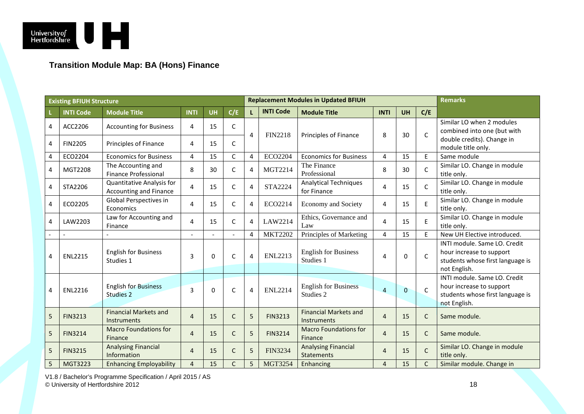

### **Transition Module Map: BA (Hons) Finance**

|        | <b>Existing BFIUH Structure</b> |                                                            |                |           |                  | <b>Replacement Modules in Updated BFIUH</b> |                  |                                                    |                | <b>Remarks</b>   |              |                                                                                                              |
|--------|---------------------------------|------------------------------------------------------------|----------------|-----------|------------------|---------------------------------------------|------------------|----------------------------------------------------|----------------|------------------|--------------|--------------------------------------------------------------------------------------------------------------|
|        | <b>INTI Code</b>                | <b>Module Title</b>                                        | <b>INTI</b>    | <b>UH</b> | C/E              | L                                           | <b>INTI Code</b> | <b>Module Title</b>                                | <b>INTI</b>    | C/E<br><b>UH</b> |              |                                                                                                              |
| 4<br>4 | ACC2206<br><b>FIN2205</b>       | <b>Accounting for Business</b><br>Principles of Finance    | 4<br>4         | 15<br>15  | $\mathsf C$<br>C | 4                                           | <b>FIN2218</b>   | Principles of Finance                              | 8              | 30               | $\mathsf{C}$ | Similar LO when 2 modules<br>combined into one (but with<br>double credits). Change in                       |
| 4      | ECO2204                         | <b>Economics for Business</b>                              | 4              | 15        | $\mathsf C$      | 4                                           | ECO2204          | <b>Economics for Business</b>                      | 4              | 15               | E            | module title only.<br>Same module                                                                            |
| 4      | MGT2208                         | The Accounting and<br><b>Finance Professional</b>          | 8              | 30        | C                | $\overline{4}$                              | MGT2214          | The Finance<br>Professional                        | 8              | 30               | C            | Similar LO. Change in module<br>title only.                                                                  |
| 4      | STA2206                         | <b>Quantitative Analysis for</b><br>Accounting and Finance | 4              | 15        | C                | $\overline{4}$                              | <b>STA2224</b>   | <b>Analytical Techniques</b><br>for Finance        | 4              | 15               | $\mathsf{C}$ | Similar LO. Change in module<br>title only.                                                                  |
| 4      | ECO2205                         | Global Perspectives in<br>Economics                        | 4              | 15        | $\mathsf{C}$     | $\overline{4}$                              | ECO2214          | <b>Economy and Society</b>                         | 4              | 15               | E            | Similar LO. Change in module<br>title only.                                                                  |
| 4      | LAW2203                         | Law for Accounting and<br>Finance                          | 4              | 15        | C                | $\overline{4}$                              | LAW2214          | Ethics, Governance and<br>Law                      | 4              | 15               | E            | Similar LO. Change in module<br>title only.                                                                  |
|        | $\overline{a}$                  |                                                            |                |           |                  | 4                                           | <b>MKT2202</b>   | Principles of Marketing                            | 4              | 15               | E            | New UH Elective introduced.                                                                                  |
| 4      | <b>ENL2215</b>                  | <b>English for Business</b><br>Studies 1                   | 3              | $\Omega$  | $\mathsf{C}$     | $\overline{4}$                              | <b>ENL2213</b>   | <b>English for Business</b><br>Studies 1           | 4              | $\Omega$         | $\mathsf{C}$ | INTI module. Same LO. Credit<br>hour increase to support<br>students whose first language is<br>not English. |
| 4      | <b>ENL2216</b>                  | <b>English for Business</b><br>Studies 2                   | 3              | $\Omega$  | C                | 4                                           | <b>ENL2214</b>   | <b>English for Business</b><br>Studies 2           | $\overline{a}$ | $\overline{0}$   | $\mathsf{C}$ | INTI module, Same LO, Credit<br>hour increase to support<br>students whose first language is<br>not English. |
| 5      | <b>FIN3213</b>                  | <b>Financial Markets and</b><br>Instruments                | $\overline{4}$ | 15        | C                | 5                                           | <b>FIN3213</b>   | <b>Financial Markets and</b><br><b>Instruments</b> | $\overline{4}$ | 15               | $\mathsf{C}$ | Same module.                                                                                                 |
| 5      | <b>FIN3214</b>                  | <b>Macro Foundations for</b><br>Finance                    | $\overline{4}$ | 15        | $\mathsf{C}$     | 5                                           | <b>FIN3214</b>   | <b>Macro Foundations for</b><br>Finance            | $\overline{4}$ | 15               | $\mathsf{C}$ | Same module.                                                                                                 |
| 5      | <b>FIN3215</b>                  | <b>Analysing Financial</b><br>Information                  | 4              | 15        | $\mathsf{C}$     | 5                                           | <b>FIN3234</b>   | <b>Analysing Financial</b><br><b>Statements</b>    | $\overline{4}$ | 15               | $\mathsf{C}$ | Similar LO. Change in module<br>title only.                                                                  |
| 5      | MGT3223                         | <b>Enhancing Employability</b>                             | $\overline{4}$ | 15        | $\mathsf C$      | 5                                           | <b>MGT3254</b>   | Enhancing                                          | $\overline{4}$ | 15               | $\mathsf{C}$ | Similar module. Change in                                                                                    |

V1.8 / Bachelor's Programme Specification / April 2015 / AS © University of Hertfordshire 2012 18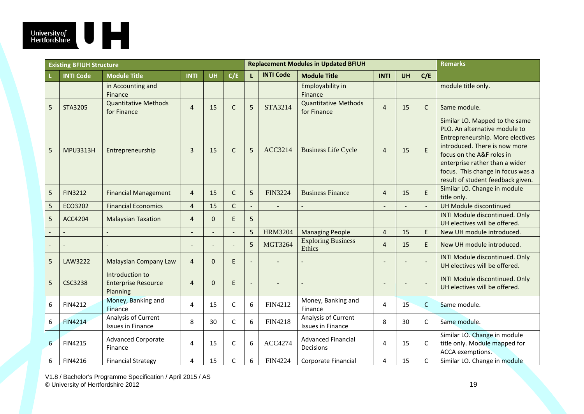

|                | <b>Existing BFIUH Structure</b> |                                                           |                          |           |              | <b>Replacement Modules in Updated BFIUH</b> |                  |                                                 |                | <b>Remarks</b>   |                |                                                                                                                                                                                                                                                                               |
|----------------|---------------------------------|-----------------------------------------------------------|--------------------------|-----------|--------------|---------------------------------------------|------------------|-------------------------------------------------|----------------|------------------|----------------|-------------------------------------------------------------------------------------------------------------------------------------------------------------------------------------------------------------------------------------------------------------------------------|
|                | <b>INTI Code</b>                | <b>Module Title</b>                                       | <b>INTI</b>              | <b>UH</b> | C/E          | T.                                          | <b>INTI Code</b> | <b>Module Title</b>                             | <b>INTI</b>    | C/E<br><b>UH</b> |                |                                                                                                                                                                                                                                                                               |
|                |                                 | in Accounting and<br>Finance                              |                          |           |              |                                             |                  | Employability in<br>Finance                     |                |                  |                | module title only.                                                                                                                                                                                                                                                            |
| 5              | STA3205                         | <b>Quantitative Methods</b><br>for Finance                | $\overline{4}$           | 15        | $\mathsf{C}$ | 5                                           | STA3214          | <b>Quantitative Methods</b><br>for Finance      | $\overline{4}$ | 15               | $\mathsf{C}$   | Same module.                                                                                                                                                                                                                                                                  |
| 5              | <b>MPU3313H</b>                 | Entrepreneurship                                          | 3                        | 15        | $\mathsf{C}$ | 5                                           | ACC3214          | <b>Business Life Cycle</b>                      | $\overline{4}$ | 15               | $\mathsf E$    | Similar LO. Mapped to the same<br>PLO. An alternative module to<br>Entrepreneurship. More electives<br>introduced. There is now more<br>focus on the A&F roles in<br>enterprise rather than a wider<br>focus. This change in focus was a<br>result of student feedback given. |
| 5              | <b>FIN3212</b>                  | <b>Financial Management</b>                               | $\overline{4}$           | 15        | $\mathsf{C}$ | 5                                           | <b>FIN3224</b>   | <b>Business Finance</b>                         | $\overline{4}$ | 15               | E              | Similar LO. Change in module<br>title only.                                                                                                                                                                                                                                   |
| 5              | ECO3202                         | <b>Financial Economics</b>                                | $\overline{4}$           | 15        | $\mathsf{C}$ | $\overline{\phantom{a}}$                    | $\blacksquare$   |                                                 |                |                  | $\overline{a}$ | UH Module discontinued                                                                                                                                                                                                                                                        |
| 5              | ACC4204                         | <b>Malaysian Taxation</b>                                 | $\overline{4}$           | $\Omega$  | E            | 5                                           |                  |                                                 |                |                  |                | INTI Module discontinued. Only<br>UH electives will be offered.                                                                                                                                                                                                               |
|                |                                 |                                                           |                          |           |              | 5                                           | <b>HRM3204</b>   | <b>Managing People</b>                          | $\overline{4}$ | 15               | E              | New UH module introduced.                                                                                                                                                                                                                                                     |
|                |                                 |                                                           | $\overline{\phantom{0}}$ |           |              | 5                                           | <b>MGT3264</b>   | <b>Exploring Business</b><br>Ethics             | $\overline{4}$ | 15               | E              | New UH module introduced.                                                                                                                                                                                                                                                     |
| 5              | LAW3222                         | <b>Malaysian Company Law</b>                              | $\overline{4}$           | $\Omega$  | E            | $\overline{a}$                              |                  |                                                 |                |                  |                | INTI Module discontinued. Only<br>UH electives will be offered.                                                                                                                                                                                                               |
| 5              | <b>CSC3238</b>                  | Introduction to<br><b>Enterprise Resource</b><br>Planning | $\overline{4}$           | $\Omega$  | E            |                                             |                  |                                                 |                |                  |                | INTI Module discontinued. Only<br>UH electives will be offered.                                                                                                                                                                                                               |
| 6              | <b>FIN4212</b>                  | Money, Banking and<br>Finance                             | 4                        | 15        | $\mathsf C$  | 6                                           | FIN4212          | Money, Banking and<br>Finance                   | 4              | 15               | $\mathsf{C}$   | Same module.                                                                                                                                                                                                                                                                  |
| 6              | <b>FIN4214</b>                  | Analysis of Current<br><b>Issues in Finance</b>           | 8                        | 30        | $\mathsf{C}$ | 6                                           | <b>FIN4218</b>   | Analysis of Current<br><b>Issues in Finance</b> | 8              | 30               | C              | Same module.                                                                                                                                                                                                                                                                  |
| $6\phantom{1}$ | <b>FIN4215</b>                  | <b>Advanced Corporate</b><br>Finance                      | 4                        | 15        | $\mathsf C$  | 6                                           | <b>ACC4274</b>   | <b>Advanced Financial</b><br>Decisions          | 4              | 15               | C              | Similar LO. Change in module<br>title only. Module mapped for<br>ACCA exemptions.                                                                                                                                                                                             |
| 6              | <b>FIN4216</b>                  | <b>Financial Strategy</b>                                 | 4                        | 15        | $\mathsf C$  | 6                                           | <b>FIN4224</b>   | Corporate Financial                             | 4              | 15               | $\mathsf C$    | Similar LO. Change in module                                                                                                                                                                                                                                                  |

V1.8 / Bachelor's Programme Specification / April 2015 / AS © University of Hertfordshire 2012 19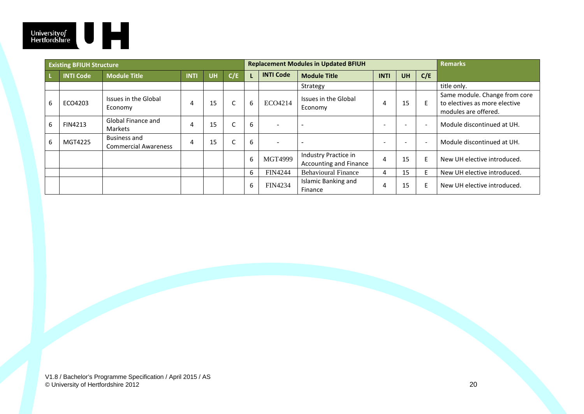

|   | <b>Existing BFIUH Structure</b> |                                                    |             |           |     | <b>Replacement Modules in Updated BFIUH</b> |                  |                                                |                 | <b>Remarks</b> |                          |                                                                                        |
|---|---------------------------------|----------------------------------------------------|-------------|-----------|-----|---------------------------------------------|------------------|------------------------------------------------|-----------------|----------------|--------------------------|----------------------------------------------------------------------------------------|
|   | <b>INTI Code</b>                | <b>Module Title</b>                                | <b>INTI</b> | <b>UH</b> | C/E |                                             | <b>INTI Code</b> | <b>Module Title</b>                            | <b>INTI</b>     | <b>UH</b>      | C/E                      |                                                                                        |
|   |                                 |                                                    |             |           |     |                                             |                  | Strategy                                       |                 |                |                          | title only.                                                                            |
| 6 | ECO4203                         | Issues in the Global<br>Economy                    | 4           | 15        |     | 6                                           | ECO4214          | Issues in the Global<br>Economy                | 4               | 15             | E                        | Same module. Change from core<br>to electives as more elective<br>modules are offered. |
| 6 | <b>FIN4213</b>                  | Global Finance and<br>Markets                      | 4           | 15        |     | 6                                           | $\sim$           |                                                | $\qquad \qquad$ |                |                          | Module discontinued at UH.                                                             |
| 6 | MGT4225                         | <b>Business and</b><br><b>Commercial Awareness</b> | 4           | 15        |     | 6                                           | $\sim$           |                                                | $\qquad \qquad$ |                | $\overline{\phantom{a}}$ | Module discontinued at UH.                                                             |
|   |                                 |                                                    |             |           |     | 6                                           | MGT4999          | Industry Practice in<br>Accounting and Finance | 4               | 15             |                          | New UH elective introduced.                                                            |
|   |                                 |                                                    |             |           |     | 6                                           | <b>FIN4244</b>   | <b>Behavioural Finance</b>                     | 4               | 15             |                          | New UH elective introduced.                                                            |
|   |                                 |                                                    |             |           |     | 6                                           | FIN4234          | Islamic Banking and<br>Finance                 | 4               | 15             | F                        | New UH elective introduced.                                                            |